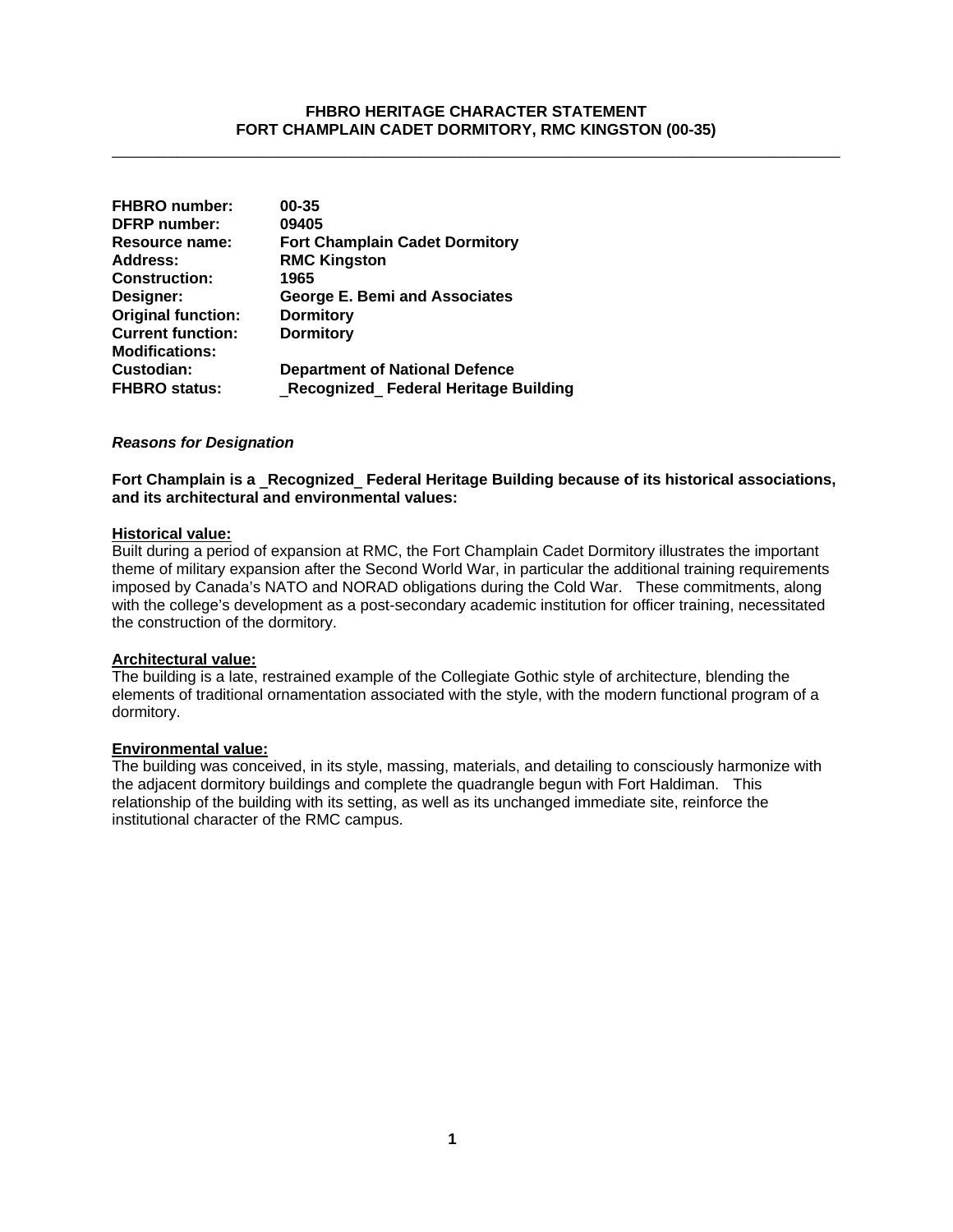# **FHBRO HERITAGE CHARACTER STATEMENT FORT CHAMPLAIN CADET DORMITORY, RMC KINGSTON (00-35)**

\_\_\_\_\_\_\_\_\_\_\_\_\_\_\_\_\_\_\_\_\_\_\_\_\_\_\_\_\_\_\_\_\_\_\_\_\_\_\_\_\_\_\_\_\_\_\_\_\_\_\_\_\_\_\_\_\_\_\_\_\_\_\_\_\_\_\_\_\_\_\_\_\_\_\_\_\_\_

| <b>FHBRO</b> number:      | 00-35                                 |
|---------------------------|---------------------------------------|
| <b>DFRP</b> number:       | 09405                                 |
| Resource name:            | <b>Fort Champlain Cadet Dormitory</b> |
| <b>Address:</b>           | <b>RMC Kingston</b>                   |
| <b>Construction:</b>      | 1965                                  |
| Designer:                 | <b>George E. Bemi and Associates</b>  |
| <b>Original function:</b> | <b>Dormitory</b>                      |
| <b>Current function:</b>  | <b>Dormitory</b>                      |
| <b>Modifications:</b>     |                                       |
| Custodian:                | <b>Department of National Defence</b> |
| <b>FHBRO</b> status:      | Recognized Federal Heritage Building  |

#### *Reasons for Designation*

**Fort Champlain is a** \_**Recognized**\_ **Federal Heritage Building because of its historical associations, and its architectural and environmental values:**

#### **Historical value:**

Built during a period of expansion at RMC, the Fort Champlain Cadet Dormitory illustrates the important theme of military expansion after the Second World War, in particular the additional training requirements imposed by Canada's NATO and NORAD obligations during the Cold War. These commitments, along with the college's development as a post-secondary academic institution for officer training, necessitated the construction of the dormitory.

#### **Architectural value:**

The building is a late, restrained example of the Collegiate Gothic style of architecture, blending the elements of traditional ornamentation associated with the style, with the modern functional program of a dormitory.

# **Environmental value:**

The building was conceived, in its style, massing, materials, and detailing to consciously harmonize with the adjacent dormitory buildings and complete the quadrangle begun with Fort Haldiman. This relationship of the building with its setting, as well as its unchanged immediate site, reinforce the institutional character of the RMC campus.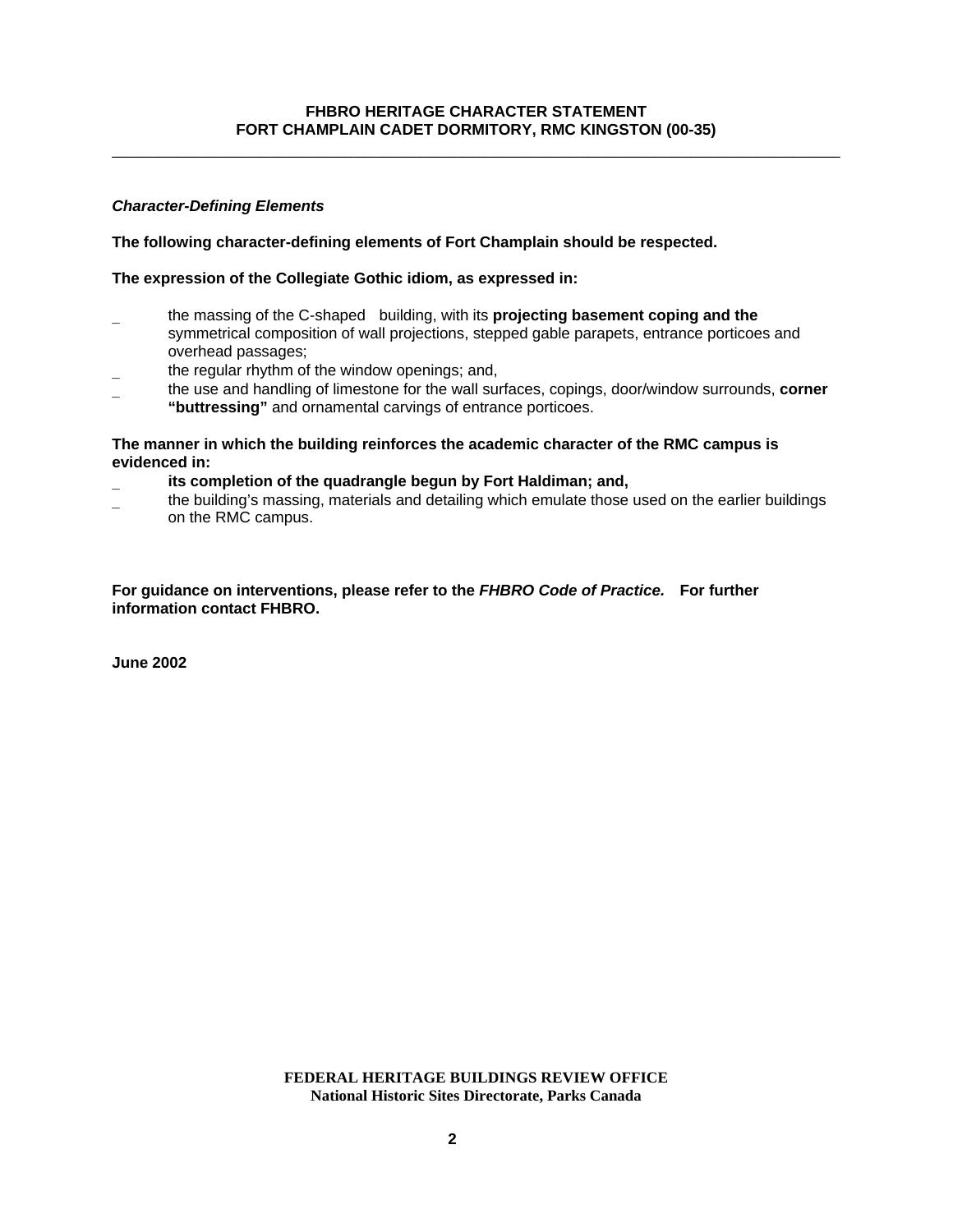# **FHBRO HERITAGE CHARACTER STATEMENT FORT CHAMPLAIN CADET DORMITORY, RMC KINGSTON (00-35)**

\_\_\_\_\_\_\_\_\_\_\_\_\_\_\_\_\_\_\_\_\_\_\_\_\_\_\_\_\_\_\_\_\_\_\_\_\_\_\_\_\_\_\_\_\_\_\_\_\_\_\_\_\_\_\_\_\_\_\_\_\_\_\_\_\_\_\_\_\_\_\_\_\_\_\_\_\_\_

# *Character-Defining Elements*

# **The following character-defining elements of Fort Champlain should be respected.**

# **The expression of the Collegiate Gothic idiom, as expressed in:**

- \_ the massing of the C-shaped building, with its **projecting basement coping and the** symmetrical composition of wall projections, stepped gable parapets, entrance porticoes and overhead passages;
- the regular rhythm of the window openings; and,
- \_ the use and handling of limestone for the wall surfaces, copings, door/window surrounds, **corner "buttressing"** and ornamental carvings of entrance porticoes.

# **The manner in which the building reinforces the academic character of the RMC campus is evidenced in:**

- its completion of the quadrangle begun by Fort Haldiman; and,
- \_ the building's massing, materials and detailing which emulate those used on the earlier buildings on the RMC campus.

## **For guidance on interventions, please refer to the** *FHBRO Code of Practice.* **For further information contact FHBRO.**

**June 2002**

**FEDERAL HERITAGE BUILDINGS REVIEW OFFICE National Historic Sites Directorate, Parks Canada**